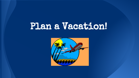# Plan a Vacation!

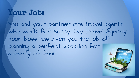# Your Job:

You and your partner are travel agents who work for Sunny Day Travel Agency. Your boss has given you the job of planning a perfect vacation for a family of four.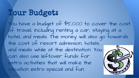# Your Budget:

You have a budget of \$5,000 to cover the cost of travel, including renting a car, staying at a hotel, and meals. The money will also go towards the cost of resort admission, hotels, and meals while at the destination. You can also use leftover funds for extra activities that will make the vacation extra special and fun.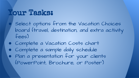# Your Tasks:

Select options from the Vacation Choices board (travel, destination, and extra activity fees)

- Complete a Vacation Costs chart
- Complete a sample daily schedule ● Plan a presentation for your clients (PowerPoint, Brochure, or Poster)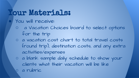## Your Materials: You will receive:

- a Vacation Choices board to select options for the trip
- a vacation cost chart to total travel costs (round trip), destination costs, and any extra activities/expenses
- a blank sample daily schedule to show your clients what their vacation will be like a rubric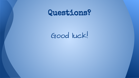## Questions?

Good luck!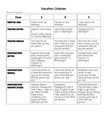## Vacation Choices

| <b>Item</b>                              | A                                                                                                                                                                       | B                                                                                                                                                      | C                                                                                                                                                                              |
|------------------------------------------|-------------------------------------------------------------------------------------------------------------------------------------------------------------------------|--------------------------------------------------------------------------------------------------------------------------------------------------------|--------------------------------------------------------------------------------------------------------------------------------------------------------------------------------|
| <b>Rental CAR</b>                        | Small 4 door car<br>(520/day)                                                                                                                                           | Minivan or SUV<br>(530/day)                                                                                                                            | 2 door sports car<br>(550/day)                                                                                                                                                 |
| <b>TRAVEL HOTEL</b>                      | Superior Hotel-indoor<br>outdoor pools, movies,<br>TV, internet (\$80/day)                                                                                              | Good Hotel-outdoor<br>pool, TV (\$50/night)                                                                                                            | Average Hotel-TV<br>(530/night)                                                                                                                                                |
| <b>TRAVEL MEALS</b>                      | Fast food for all<br>meals (\$20 per day<br>per person)                                                                                                                 | Fast food for 2 meals<br>and 1 meal at a nice<br>restaurant (\$30 per<br>day per person)                                                               | Fast food for 1 meal<br>and 2 meals at a nice<br>restaurant (\$40 per<br>day per person)                                                                                       |
| <b>Destination</b><br><b>HOTEL</b>       | Superior Hotel-huge<br>pool, 4 restaurants,<br>arcade, gym, 24 snack<br>shop, shopping,<br>internet, TV<br>(\$300/night)                                                | Good Hotel-mid-size<br>pool, 1 restaurant,<br>gym, internet, TV<br>(\$200/night)                                                                       | Average Hotel-small<br>pool, restaurant,<br>internet, TV<br>(\$100/night)                                                                                                      |
| <b>Destination</b><br><b>Meals</b>       | Lunch and dinner at<br>at selected restaurant<br>(you do not choose)<br>(\$40 per person per<br>day)                                                                    | Lunch and dinner at<br>any restaurant of<br>your choice (\$50 per<br>person per day)                                                                   | Breakfast, lunch, and<br>dinner at any<br>restaurant of your<br>choice (\$70 per'person<br>per day)                                                                            |
| <b>Destination</b><br><b>ResoRT/PARK</b> | Hawaiian Beach<br>Vacation Package-will<br>take 2 days, 1 night to<br>get there; includes<br>scuba diving,<br>snorkeling, surf<br>lessons & more!<br>(\$200 per person) | Disneyland<br>Package-will take 3<br>days, 2 nights to get<br>there; includes famous<br>rides, characters, 3D<br>movies, & more! (\$100<br>per person) | Camping Adventure<br>Trip-will take 2 days, 1<br>night to get there;<br>includes skiing, fishing,<br>boating, obstacle<br>courses, paint ball, &<br>more! (\$70 per<br>person) |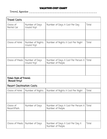### Vacation Cost Chart

Travel Agents: \_\_\_\_\_\_\_\_\_\_\_\_\_\_\_\_\_\_\_\_\_\_\_\_\_\_\_\_\_\_\_\_\_\_\_\_\_\_\_\_

| <b>Travel Costs</b>                         |                                  |                                                        |       |
|---------------------------------------------|----------------------------------|--------------------------------------------------------|-------|
| Choice of<br>Rental Car                     | Number of Days<br>(round trip)   | Number of Days X Cost Per Day                          | Total |
|                                             |                                  |                                                        |       |
| Choice of Hotel                             | Number of Nights<br>(round trip) | Number of Nights X Cost Per Night                      | Total |
|                                             |                                  |                                                        |       |
| Choice of Meals                             | Number of Days<br>(round trip)   | Number of Days X Cost Per Person X<br>Number of People | Total |
|                                             |                                  |                                                        |       |
| <b>Total Cost of Travel</b><br>(Round Trip) |                                  |                                                        |       |
| <b>Resort Destination Costs</b>             |                                  |                                                        |       |
| Choice of Hotel                             | Number of Nights                 | Number of Nights X Cost Per Night                      | Total |
|                                             |                                  |                                                        |       |
| Choice of<br>Resort/Park                    | Number of Days                   | Number of Days X Cost Per Person X<br>Number of People | Total |
|                                             |                                  |                                                        |       |
| Choice of Meals                             | Number of Days                   | Number of Days X Cost Per Day X<br>Number of People    | Total |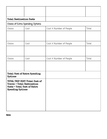| <b>Total Destination Costs</b>                                                                                                |                                  |                         |       |
|-------------------------------------------------------------------------------------------------------------------------------|----------------------------------|-------------------------|-------|
|                                                                                                                               | Choice of Extra Spending Options |                         |       |
| Choice                                                                                                                        | Cost                             | Cost X Number of People | Total |
|                                                                                                                               |                                  |                         |       |
| Choice                                                                                                                        | Cost                             | Cost X Number of People | Total |
|                                                                                                                               |                                  |                         |       |
| Choice                                                                                                                        | Cost                             | Cost X Number of People | Total |
|                                                                                                                               |                                  |                         |       |
| <b>Total Cost of Extra Spending</b><br>Options                                                                                |                                  |                         |       |
| TOTAL TRIP COST (Total Cost of<br><b>Travel + Total Destination</b><br>Costs + Total Cost of Extra<br><b>Spending Options</b> |                                  |                         |       |

Notes: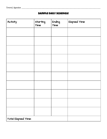### Sample Daily Schedule

| Activity            | Starting<br>Time | Ending<br>Time | Elapsed Time |
|---------------------|------------------|----------------|--------------|
|                     |                  |                |              |
|                     |                  |                |              |
|                     |                  |                |              |
|                     |                  |                |              |
|                     |                  |                |              |
|                     |                  |                |              |
|                     |                  |                |              |
|                     |                  |                |              |
|                     |                  |                |              |
|                     |                  |                |              |
| Total Elapsed Time: |                  |                |              |